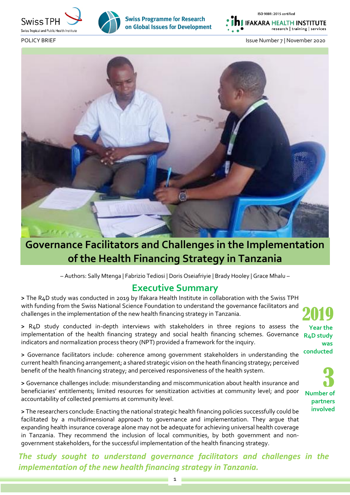



**Swiss Programme for Research** on Global Issues for Development ISO 9001: 2015 certified

**IFAKARA HEALTH INSTITUTE** research | training | services





# **Governance Facilitators and Challenges in the Implementation of the Health Financing Strategy in Tanzania**

– Authors: Sally Mtenga | Fabrizio Tediosi | Doris Oseiafriyie | Brady Hooley | Grace Mhalu –

### **Executive Summary**

**>** The R4D study was conducted in 2019 by Ifakara Health Institute in collaboration with the Swiss TPH with funding from the Swiss National Science Foundation to understand the governance facilitators and challenges in the implementation of the new health financing strategy in Tanzania.

**>** R4D study conducted in-depth interviews with stakeholders in three regions to assess the implementation of the health financing strategy and social health financing schemes. Governance indicators and normalization process theory (NPT) provided a framework for the inquiry.

**>** Governance facilitators include: coherence among government stakeholders in understanding the current health financing arrangement; a shared strategic vision on the heath financing strategy; perceived benefit of the health financing strategy; and perceived responsiveness of the health system.

**>** Governance challenges include: misunderstanding and miscommunication about health insurance and beneficiaries' entitlements; limited resources for sensitization activities at community level; and poor accountability of collected premiums at community level.

**>** The researchers conclude: Enacting the national strategic health financing policies successfully could be facilitated by a multidimensional approach to governance and implementation. They argue that expanding health insurance coverage alone may not be adequate for achieving universal health coverage in Tanzania. They recommend the inclusion of local communities, by both government and nongovernment stakeholders, for the successful implementation of the health financing strategy.

*The study sought to understand governance facilitators and challenges in the implementation of the new health financing strategy in Tanzania.* 

2019 **Year the R4D study was conducted**

3 **Number of partners involved**

1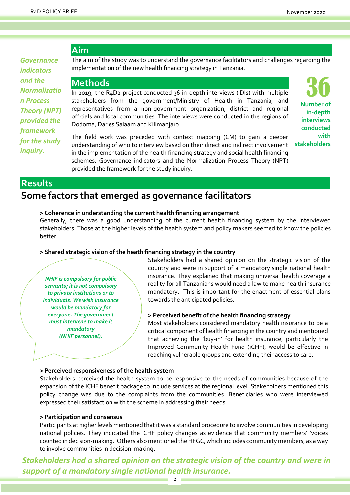### **Aim**

*Governance indicators and the Normalizatio n Process Theory (NPT) provided the framework for the study inquiry.*

The aim of the study was to understand the governance facilitators and challenges regarding the implementation of the new health financing strategy in Tanzania.

### **Methods**

In 2019, the R4D2 project conducted 36 in-depth interviews (IDIs) with multiple stakeholders from the government/Ministry of Health in Tanzania, and representatives from a non-government organization, district and regional officials and local communities. The interviews were conducted in the regions of Dodoma, Dar es Salaam and Kilimanjaro.

36 **Number of in-depth interviews conducted with stakeholders**

The field work was preceded with context mapping (CM) to gain a deeper understanding of who to interview based on their direct and indirect involvement in the implementation of the health financing strategy and social health financing schemes. Governance indicators and the Normalization Process Theory (NPT) provided the framework for the study inquiry.

### **Results**

# **Some factors that emerged as governance facilitators**

#### **> Coherence in understanding the current health financing arrangement**

Generally, there was a good understanding of the current health financing system by the interviewed stakeholders. Those at the higher levels of the health system and policy makers seemed to know the policies better.

#### **> Shared strategic vision of the heath financing strategy in the country**

*NHIF is compulsory for public servants; it is not compulsory to private institutions or to individuals. We wish insurance would be mandatory for everyone. The government must intervene to make it mandatory (NHIF personnel).*

Stakeholders had a shared opinion on the strategic vision of the country and were in support of a mandatory single national health insurance. They explained that making universal health coverage a reality for all Tanzanians would need a law to make health insurance mandatory. This is important for the enactment of essential plans towards the anticipated policies.

#### **> Perceived benefit of the health financing strategy**

Most stakeholders considered mandatory health insurance to be a critical component of health financing in the country and mentioned that achieving the 'buy-in' for health insurance, particularly the Improved Community Health Fund (iCHF), would be effective in reaching vulnerable groups and extending their access to care.

#### **> Perceived responsiveness of the health system**

Stakeholders perceived the health system to be responsive to the needs of communities because of the expansion of the iCHF benefit package to include services at the regional level. Stakeholders mentioned this policy change was due to the complaints from the communities. Beneficiaries who were interviewed expressed their satisfaction with the scheme in addressing their needs.

#### **> Participation and consensus**

Participants at higher levels mentioned that it was a standard procedure to involve communities in developing national policies. They indicated the iCHF policy changes as evidence that community members' 'voices counted in decision-making.' Others also mentioned the HFGC, which includes community members, as a way to involve communities in decision-making.

*Stakeholders had a shared opinion on the strategic vision of the country and were in support of a mandatory single national health insurance.*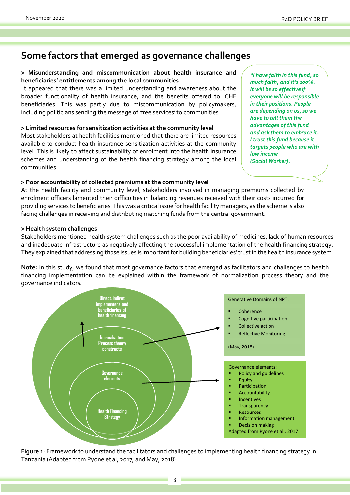## **Some factors that emerged as governance challenges**

#### **> Misunderstanding and miscommunication about health insurance and beneficiaries' entitlements among the local communities**

It appeared that there was a limited understanding and awareness about the broader functionality of health insurance, and the benefits offered to iCHF beneficiaries. This was partly due to miscommunication by policymakers, including politicians sending the message of 'free services' to communities.

**> Limited resources for sensitization activities at the community level**

Most stakeholders at health facilities mentioned that there are limited resources available to conduct health insurance sensitization activities at the community level. This is likely to affect sustainability of enrolment into the health insurance schemes and understanding of the health financing strategy among the local communities.

**> Poor accountability of collected premiums at the community level**

At the health facility and community level, stakeholders involved in managing premiums collected by enrolment officers lamented their difficulties in balancing revenues received with their costs incurred for providing services to beneficiaries. This was a critical issue for health facility managers, as the scheme is also facing challenges in receiving and distributing matching funds from the central government.

#### **> Health system challenges**

Stakeholders mentioned health system challenges such as the poor availability of medicines, lack of human resources and inadequate infrastructure as negatively affecting the successful implementation of the health financing strategy. They explained that addressing those issues is important for building beneficiaries' trust in the health insurance system.

**Note:** In this study, we found that most governance factors that emerged as facilitators and challenges to health financing implementation can be explained within the framework of normalization process theory and the governance indicators.



**Figure 1**: Framework to understand the facilitators and challenges to implementing health financing strategy in Tanzania (Adapted from Pyone et al, 2017; and May, 2018).

*"I have faith in this fund, so much faith, and it's 100%. It will be so effective if everyone will be responsible in their positions. People are depending on us, so we have to tell them the advantages of this fund and ask them to embrace it. I trust this fund because it targets people who are with low income (Social Worker).*